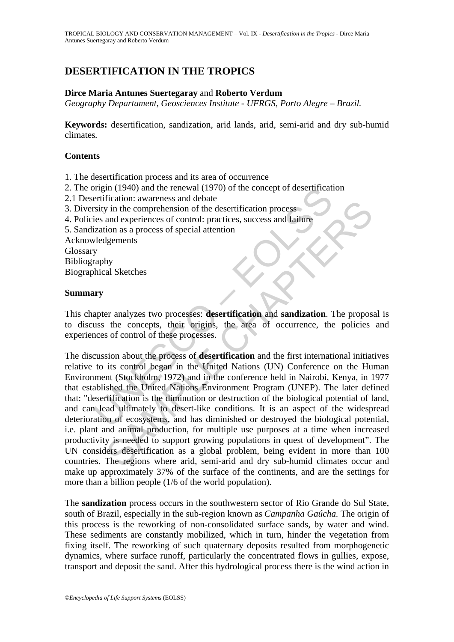# **DESERTIFICATION IN THE TROPICS**

#### **Dirce Maria Antunes Suertegaray** and **Roberto Verdum**

*Geography Departament, Geosciences Institute - UFRGS, Porto Alegre – Brazil.* 

**Keywords:** desertification, sandization, arid lands, arid, semi-arid and dry sub-humid climates*.*

### **Contents**

- 1. The desertification process and its area of occurrence
- 2. The origin (1940) and the renewal (1970) of the concept of desertification
- 2.1 Desertification: awareness and debate
- 3. Diversity in the comprehension of the desertification process
- 4. Policies and experiences of control: practices, success and failure
- 5. Sandization as a process of special attention

Acknowledgements Glossary Bibliography Biographical Sketches

#### **Summary**

This chapter analyzes two processes: **desertification** and **sandization**. The proposal is to discuss the concepts, their origins, the area of occurrence, the policies and experiences of control of these processes.

The merification: awareness and debate<br>errification: awareness and debate<br>errification: awareness and debate<br>is sinty in the comprehension of the desertification process<br>ies and experiences of control: practices, success a metation: awares and coality in the comprehension of the desertification process<br>and experiences of control: practices, success and failure<br>digements<br>and experiences of control: practices, success and failure<br>digements<br>the The discussion about the process of **desertification** and the first international initiatives relative to its control began in the United Nations (UN) Conference on the Human Environment (Stockholm, 1972) and in the conference held in Nairobi, Kenya, in 1977 that established the United Nations Environment Program (UNEP). The later defined that: "desertification is the diminution or destruction of the biological potential of land, and can lead ultimately to desert-like conditions. It is an aspect of the widespread deterioration of ecosystems, and has diminished or destroyed the biological potential, i.e. plant and animal production, for multiple use purposes at a time when increased productivity is needed to support growing populations in quest of development". The UN considers desertification as a global problem, being evident in more than 100 countries. The regions where arid, semi-arid and dry sub-humid climates occur and make up approximately 37% of the surface of the continents, and are the settings for more than a billion people (1/6 of the world population).

The **sandization** process occurs in the southwestern sector of Rio Grande do Sul State, south of Brazil, especially in the sub-region known as *Campanha Gaúcha.* The origin of this process is the reworking of non-consolidated surface sands, by water and wind. These sediments are constantly mobilized, which in turn, hinder the vegetation from fixing itself. The reworking of such quaternary deposits resulted from morphogenetic dynamics, where surface runoff, particularly the concentrated flows in gullies, expose, transport and deposit the sand. After this hydrological process there is the wind action in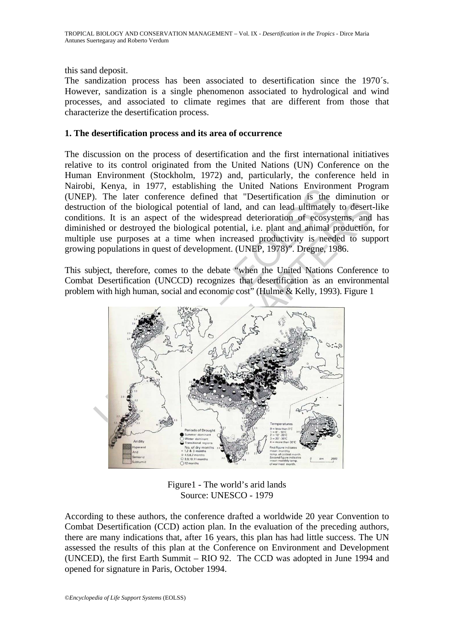this sand deposit.

The sandization process has been associated to desertification since the 1970´s. However, sandization is a single phenomenon associated to hydrological and wind processes, and associated to climate regimes that are different from those that characterize the desertification process.

#### **1. The desertification process and its area of occurrence**

The discussion on the process of desertification and the first international initiatives relative to its control originated from the United Nations (UN) Conference on the Human Environment (Stockholm, 1972) and, particularly, the conference held in Nairobi, Kenya, in 1977, establishing the United Nations Environment Program (UNEP). The later conference defined that "Desertification is the diminution or destruction of the biological potential of land, and can lead ultimately to desert-like conditions. It is an aspect of the widespread deterioration of ecosystems, and has diminished or destroyed the biological potential, i.e. plant and animal production, for multiple use purposes at a time when increased productivity is needed to support growing populations in quest of development. (UNEP, 1978)". Dregne, 1986.

This subject, therefore, comes to the debate "when the United Nations Conference to Combat Desertification (UNCCD) recognizes that desertification as an environmental problem with high human, social and economic cost" (Hulme & Kelly, 1993). Figure 1



Figure1 - The world's arid lands Source: UNESCO - 1979

According to these authors, the conference drafted a worldwide 20 year Convention to Combat Desertification (CCD) action plan. In the evaluation of the preceding authors, there are many indications that, after 16 years, this plan has had little success. The UN assessed the results of this plan at the Conference on Environment and Development (UNCED), the first Earth Summit – RIO 92. The CCD was adopted in June 1994 and opened for signature in Paris, October 1994.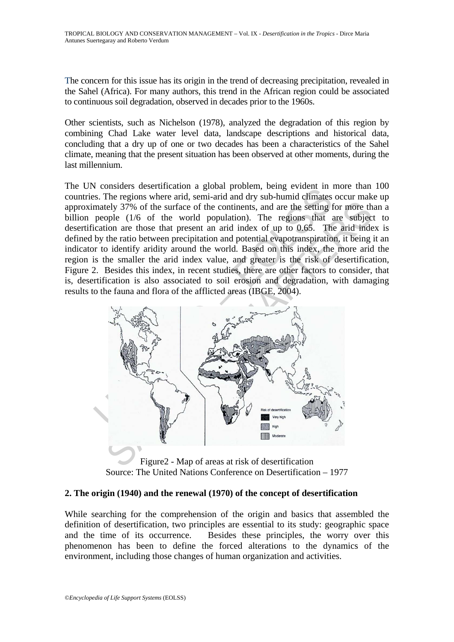The concern for this issue has its origin in the trend of decreasing precipitation, revealed in the Sahel (Africa). For many authors, this trend in the African region could be associated to continuous soil degradation, observed in decades prior to the 1960s.

Other scientists, such as Nichelson (1978), analyzed the degradation of this region by combining Chad Lake water level data, landscape descriptions and historical data, concluding that a dry up of one or two decades has been a characteristics of the Sahel climate, meaning that the present situation has been observed at other moments, during the last millennium.

The UN considers desertification a global problem, being evident in more than 100 countries. The regions where arid, semi-arid and dry sub-humid climates occur make up approximately 37% of the surface of the continents, and are the setting for more than a billion people (1/6 of the world population). The regions that are subject to desertification are those that present an arid index of up to 0.65. The arid index is defined by the ratio between precipitation and potential evapotranspiration, it being it an indicator to identify aridity around the world. Based on this index, the more arid the region is the smaller the arid index value, and greater is the risk of desertification, Figure 2. Besides this index, in recent studies, there are other factors to consider, that is, desertification is also associated to soil erosion and degradation, with damaging results to the fauna and flora of the afflicted areas (IBGE, 2004).



Figure2 - Map of areas at risk of desertification Source: The United Nations Conference on Desertification – 1977

## **2. The origin (1940) and the renewal (1970) of the concept of desertification**

While searching for the comprehension of the origin and basics that assembled the definition of desertification, two principles are essential to its study: geographic space and the time of its occurrence. Besides these principles, the worry over this phenomenon has been to define the forced alterations to the dynamics of the environment, including those changes of human organization and activities.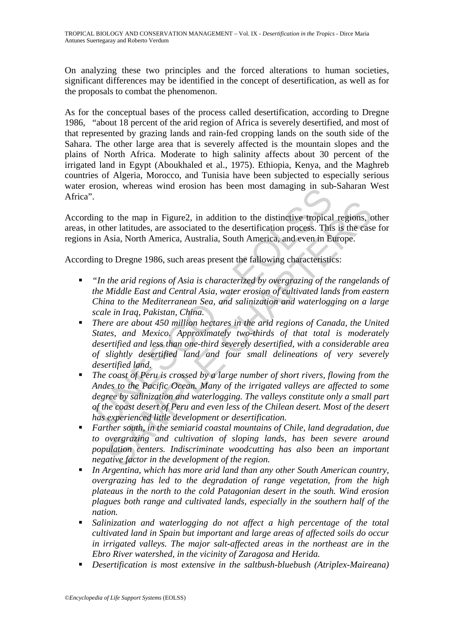On analyzing these two principles and the forced alterations to human societies, significant differences may be identified in the concept of desertification, as well as for the proposals to combat the phenomenon.

As for the conceptual bases of the process called desertification, according to Dregne 1986, "about 18 percent of the arid region of Africa is severely desertified, and most of that represented by grazing lands and rain-fed cropping lands on the south side of the Sahara. The other large area that is severely affected is the mountain slopes and the plains of North Africa. Moderate to high salinity affects about 30 percent of the irrigated land in Egypt (Aboukhaled et al., 1975). Ethiopia, Kenya, and the Maghreb countries of Algeria, Morocco, and Tunisia have been subjected to especially serious water erosion, whereas wind erosion has been most damaging in sub-Saharan West Africa".

According to the map in Figure2, in addition to the distinctive tropical regions, other areas, in other latitudes, are associated to the desertification process. This is the case for regions in Asia, North America, Australia, South America, and even in Europe.

According to Dregne 1986, such areas present the fallowing characteristics:

- *"In the arid regions of Asia is characterized by overgrazing of the rangelands of the Middle East and Central Asia, water erosion of cultivated lands from eastern China to the Mediterranean Sea, and salinization and waterlogging on a large scale in Iraq, Pakistan, China.*
- Total in the map in Figure 2, in addition to the distinctive tropical<br>ing to the map in Figure 2, in addition to the distinctive tropical<br>in Asia, North America, Australia, South America, and even in Bi<br>in Asia, North Amer to the map in Figure2, in addition to the distinctive tropical regions, of<br>ther latitudes, are associated to the desertification process. This is the case<br>stas, North America, Australia, South America, and even in Europe.<br> *There are about 450 million hectares in the arid regions of Canada, the United States, and Mexico. Approximately two-thirds of that total is moderately desertified and less than one-third severely desertified, with a considerable area of slightly desertified land and four small delineations of very severely desertified land.*
- *The coast of Peru is crossed by a large number of short rivers, flowing from the Andes to the Pacific Ocean. Many of the irrigated valleys are affected to some degree by salinization and waterlogging. The valleys constitute only a small part of the coast desert of Peru and even less of the Chilean desert. Most of the desert has experienced little development or desertification.*
- *Farther south, in the semiarid coastal mountains of Chile, land degradation, due to overgrazing and cultivation of sloping lands, has been severe around population centers. Indiscriminate woodcutting has also been an important negative factor in the development of the region.*
- *In Argentina, which has more arid land than any other South American country, overgrazing has led to the degradation of range vegetation, from the high plateaus in the north to the cold Patagonian desert in the south. Wind erosion plagues both range and cultivated lands, especially in the southern half of the nation.*
- *Salinization and waterlogging do not affect a high percentage of the total cultivated land in Spain but important and large areas of affected soils do occur in irrigated valleys. The major salt-affected areas in the northeast are in the Ebro River watershed, in the vicinity of Zaragosa and Herida.*
- *Desertification is most extensive in the saltbush-bluebush (Atriplex-Maireana)*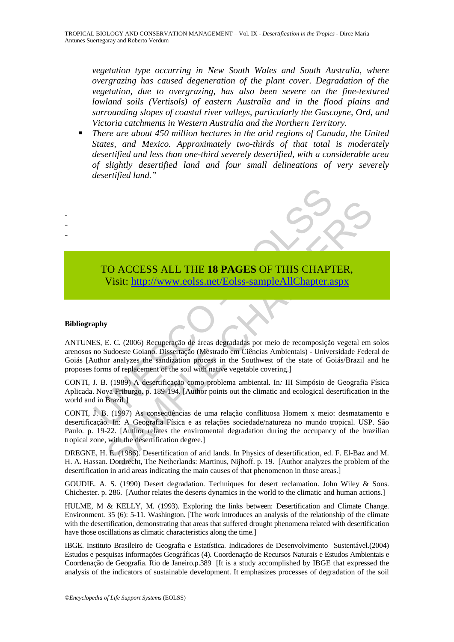*vegetation type occurring in New South Wales and South Australia, where overgrazing has caused degeneration of the plant cover. Degradation of the vegetation, due to overgrazing, has also been severe on the fine-textured lowland soils (Vertisols) of eastern Australia and in the flood plains and surrounding slopes of coastal river valleys, particularly the Gascoyne, Ord, and Victoria catchments in Western Australia and the Northern Territory.* 

 *There are about 450 million hectares in the arid regions of Canada, the United States, and Mexico. Approximately two-thirds of that total is moderately desertified and less than one-third severely desertified, with a considerable area of slightly desertified land and four small delineations of very severely desertified land."* 

## TO ACCESS ALL THE **18 PAGES** OF THIS CHAPTER, Visit: http://www.eolss.net/Eolss-sampleAllChapter.aspx

#### **Bibliography**

- - -

TO ACCESS ALL THE 18 PAGES OF THIS CHAPT<br>Visit: http://www.eolss.net/Eolss-sampleAllChapter.a<br>polysist: http://www.eolss.net/Eolss-sampleAllChapter.a<br>no Sudeste Goiano. Dissertação (Mestrado em Ciências Ambientais) - Unive ANTUNES, E. C. (2006) Recuperação de áreas degradadas por meio de recomposição vegetal em solos arenosos no Sudoeste Goiano. Dissertação (Mestrado em Ciências Ambientais) - Universidade Federal de Goiás [Author analyzes the sandization process in the Southwest of the state of Goiás/Brazil and he proposes forms of replacement of the soil with native vegetable covering.]

CONTI, J. B. (1989) A desertificação como problema ambiental. In*:* III Simpósio de Geografia Física Aplicada. Nova Friburgo. p. 189-194. [Author points out the climatic and ecological desertification in the world and in Brazil.]

CO ACCESS ALL THE 18 PAGES OF THIS CH[APT](https://www.eolss.net/ebooklib/sc_cart.aspx?File=E6-142-DE-03)ER,<br>
Visit: http://www.eolss.net/Eolss-sampleAllChapter.aspx<br>
E. C. (2006) Recuperação de áreas degradadas por meio de recomposição vegetal em<br>
Sudoeste Goiano. Dissertação (Mestrado CONTI, J. B. (1997) As conseqüências de uma relação conflituosa Homem x meio: desmatamento e desertificação. In: A Geografia Física e as relações sociedade/natureza no mundo tropical. USP. São Paulo. p. 19-22. [Author relates the enviromental degradation during the occupancy of the brazilian tropical zone, with the desertification degree.]

DREGNE, H. E. (1986). Desertification of arid lands. In Physics of desertification*,* ed. F. El-Baz and M. H. A. Hassan. Dordrecht, The Netherlands: Martinus, Nijhoff. p. 19. [Author analyzes the problem of the desertification in arid areas indicating the main causes of that phenomenon in those areas.]

GOUDIE. A. S. (1990) Desert degradation. Techniques for desert reclamation. John Wiley & Sons. Chichester. p. 286. [Author relates the deserts dynamics in the world to the climatic and human actions.]

HULME, M & KELLY, M. (1993). Exploring the links between: Desertification and Climate Change. Environment. 35 (6): 5-11. Washington. [The work introduces an analysis of the relationship of the climate with the desertification, demonstrating that areas that suffered drought phenomena related with desertification have those oscillations as climatic characteristics along the time.

IBGE. Instituto Brasileiro de Geografia e Estatística. Indicadores de Desenvolvimento Sustentável.(2004) Estudos e pesquisas informações Geográficas (4). Coordenação de Recursos Naturais e Estudos Ambientais e Coordenação de Geografia. Rio de Janeiro.p.389 [It is a study accomplished by IBGE that expressed the analysis of the indicators of sustainable development. It emphasizes processes of degradation of the soil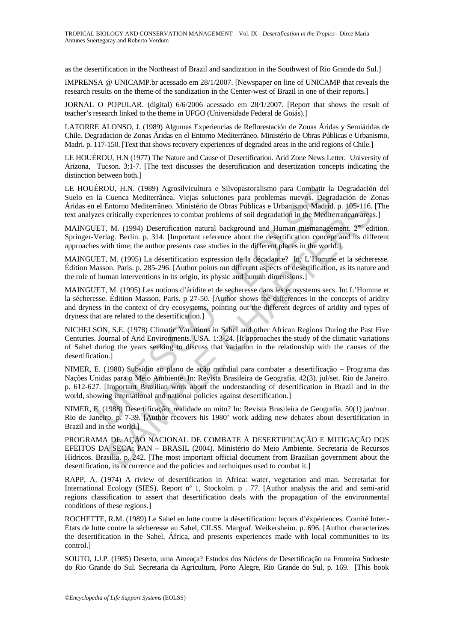as the desertification in the Northeast of Brazil and sandization in the Southwest of Rio Grande do Sul.]

IMPRENSA @ UNICAMP.br acessado em 28/1/2007. [Newspaper on line of UNICAMP that reveals the research results on the theme of the sandization in the Center-west of Brazil in one of their reports.]

JORNAL O POPULAR. (digital) 6/6/2006 acessado em 28/1/2007. [Report that shows the result of teacher's research linked to the theme in UFGO (Universidade Federal de Goiás).]

LATORRE ALONSO, J. (1989) Algumas Experiencias de Reflorestación de Zonas Áridas y Semiáridas de Chile. Degradacion de Zonas Áridas en el Entorno Mediterrâneo. Ministério de Obras Públicas e Urbanismo, Madri. p. 117-150. [Text that shows recovery experiences of degraded areas in the arid regions of Chile.]

LE HOUÉROU, H.N (1977) The Nature and Cause of Desertification. Arid Zone News Letter*.* University of Arizona, Tucson. 3:1-7. [The text discusses the desertification and desertization concepts indicating the distinction between both.]

LE HOUÉROU, H.N. (1989) Agrosilvicultura e Silvopastoralismo para Combatir la Degradación del Suelo en la Cuenca Mediterrânea. Viejas soluciones para problemas nuevos. Degradación de Zonas Áridas en el Entorno Mediterrâneo. Ministério de Obras Públicas e Urbanismo, Madrid. p. 105-116. [The text analyzes critically experiences to combat problems of soil degradation in the Mediterranean areas.]

MAINGUET, M. (1994) Desertification natural background and Human mismanagement. 2<sup>nd</sup> edition. Springer-Verlag. Berlin. p. 314. [Important reference about the desertification concept and its different approaches with time; the author presents case studies in the different places in the world.]

MAINGUET, M. (1995) La désertification expression de la décadance? In*:* L'Homme et la sécheresse. Édition Masson. Paris. p. 285-296. [Author points out different aspects of desertification, as its nature and the role of human interventions in its origin, its physic and human dimensions.]

MAINGUET, M. (1995) Les notions d'áridite et de secheresse dans les ecosystems secs. In: L'Homme et la sécheresse. Édition Masson. Paris. p 27-50. [Author shows the differences in the concepts of aridity and dryness in the context of dry ecosystems, pointing out the different degrees of aridity and types of dryness that are related to the desertification.]

EROU, H.N. (1989) Agrosilvicultura e Silvopastoralismo para Combatir la Cuenca Mediterrâneo. Viejas soluciones para problemas nuevos. Degrad<br>
el Entorno Mediterrâneo. Ministério de Obras Públicas e Urbanismo, Madrid<br>
7es c Contained Mathematic Mathematic USA. Itselation and product a properties and the control of the CHAPTER A DECAL THR (not apply a method). Natrid, p. 105-116. critically experiences to combat problems of soil degradation in NICHELSON, S.E. (1978) Climatic Variations in Sahel and other African Regions During the Past Five Centuries. Journal of Arid Environments. USA. 1:3-24. [It approaches the study of the climatic variations of Sahel during the years seeking to discuss that variation in the relationship with the causes of the desertification.]

NIMER, E. (1980) Subsídio ao plano de ação mundial para combater a desertificação – Programa das Nações Unidas para o Meio Ambiente. In: Revista Brasileira de Geografia*.* 42(3). jul/set. Rio de Janeiro. p. 612-627. [Important Brazilian work about the understanding of desertification in Brazil and in the world, showing international and national policies against desertification.]

NIMER, E. (1988) Desertificação: realidade ou mito? In: Revista Brasileira de Geografia. 50(1) jan/mar. Rio de Janeiro. p. 7-39. [Author recovers his 1980' work adding new debates about desertification in Brazil and in the world.]

PROGRAMA DE AÇÃO NACIONAL DE COMBATE À DESERTIFICAÇÃO E MITIGAÇÃO DOS EFEITOS DA SECA: PAN – BRASIL (2004). Ministério do Meio Ambiente. Secretaria de Recursos Hídricos. Brasília. p. 242. [The most important official document from Brazilian government about the desertification, its occurrence and the policies and techniques used to combat it.]

RAPP, A. (1974) A riview of desertification in Africa: water, vegetation and man. Secretariat for International Ecology (SIES), Report nº 1, Stockolm. p . 77. [Author analysis the arid and semi-arid regions classification to assert that desertification deals with the propagation of the environmental conditions of these regions.]

ROCHETTE, R.M. (1989) Le Sahel en lutte contre la désertification: leçons d'éxpériences. Comité Inter.- États de lutte contre la sécheresse au Sahel, CILSS. Margraf. Weikersheim. p. 696. [Author characterizes the desertification in the Sahel, África, and presents experiences made with local communities to its control.]

SOUTO, J.J.P. (1985) Deserto, uma Ameaça? Estudos dos Núcleos de Desertificação na Fronteira Sudoeste do Rio Grande do Sul. Secretaria da Agricultura, Porto Alegre, Rio Grande do Sul, p. 169. [This book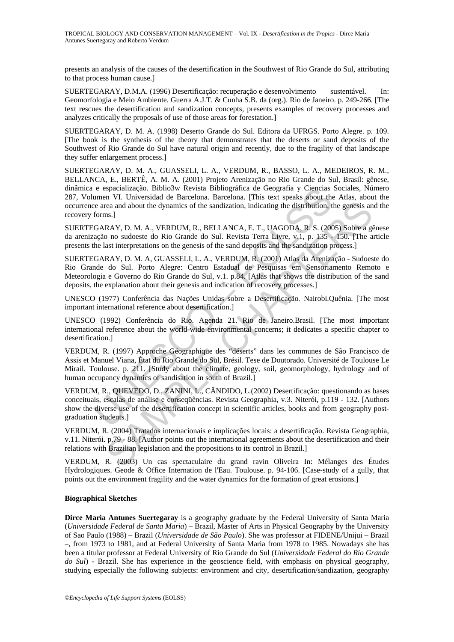presents an analysis of the causes of the desertification in the Southwest of Rio Grande do Sul, attributing to that process human cause.]

SUERTEGARAY, D.M.A. (1996) Desertificação: recuperação e desenvolvimento sustentável. In: Geomorfologia e Meio Ambiente*.* Guerra A.J.T. & Cunha S.B. da (org.). Rio de Janeiro. p. 249-266. [The text rescues the desertification and sandization concepts, presents examples of recovery processes and analyzes critically the proposals of use of those areas for forestation.]

SUERTEGARAY, D. M. A. (1998) Deserto Grande do Sul. Editora da UFRGS. Porto Alegre. p. 109. [The book is the synthesis of the theory that demonstrates that the deserts or sand deposits of the Southwest of Rio Grande do Sul have natural origin and recently, due to the fragility of that landscape they suffer enlargement process.]

SUERTEGARAY, D. M. A., GUASSELI, L. A., VERDUM, R., BASSO, L. A., MEDEIROS, R. M., BELLANCA, E., BERTÊ, A. M. A. (2001) Projeto Arenização no Rio Grande do Sul, Brasil: gênese, dinâmica e espacialização. Biblio3w Revista Bibliográfica de Geografia y Ciencias Sociales, Número 287, Volumen VI. Universidad de Barcelona. Barcelona. [This text speaks about the Atlas, about the occurrence area and about the dynamics of the sandization, indicating the distribution, the genesis and the recovery forms.]

SUERTEGARAY, D. M. A., VERDUM, R., BELLANCA, E. T., UAGODA, R. S. (2005) Sobre a gênese da arenização no sudoeste do Rio Grande do Sul. Revista Terra Livre, v.1, p. 135 - 150. [The article presents the last interpretations on the genesis of the sand deposits and the sandization process.]

e espacialização. Biblio de Barcelona. Barcelona. Racelona y Ciencias umen VI. Universidad de Barcelona. Barcelona. Trinis text speaks about the dynamics of the sandization, indicating the distribution, the forms.]<br>CGRRAY, rea and about the dynamics of the sandization, indicating the distribution, the genessis ans.]<br>
IS.]<br>
RAY, D. M. A., VERDUM, R., BELLANCA, E. T., UAGODA, R. S. (2005) Sobre a geness ans.]<br>
IS.]<br>
RAY, D. M. A., VERDUM, R., SUERTEGARAY, D. M. A, GUASSELI, L. A., VERDUM, R. (2001) Atlas da Arenização - Sudoeste do Rio Grande do Sul. Porto Alegre: Centro Estadual de Pesquisas em Sensoriamento Remoto e Meteorologia e Governo do Rio Grande do Sul, v.1. p.84. [Atlas that shows the distribution of the sand deposits, the explanation about their genesis and indication of recovery processes.]

UNESCO (1977) Conferência das Nações Unidas sobre a Desertificação*.* Nairobi.Quênia. [The most important international reference about desertification.]

UNESCO (1992) Conferência do Rio. Agenda 21. Rio de Janeiro.Brasil. [The most important international reference about the world-wide environmental concerns; it dedicates a specific chapter to desertification.]

VERDUM, R. (1997) Approche Géographique des "déserts" dans les communes de São Francisco de Assis et Manuel Viana, État du Rio Grande do Sul, Brésil. Tese de Doutorado. Université de Toulouse Le Mirail. Toulouse. p. 211. [Study about the climate, geology, soil, geomorphology, hydrology and of human occupancy dynamics of sandisation in south of Brazil.]

VERDUM, R., QUEVEDO, D., ZANINI, L., CÂNDIDO, L.(2002) Desertificação: questionando as bases conceituais, escalas de análise e conseqüências. Revista Geographia, v.3. Niterói, p.119 - 132. [Authors show the diverse use of the desertification concept in scientific articles, books and from geography postgraduation students.]

VERDUM, R. (2004) Tratados internacionais e implicações locais: a desertificação. Revista Geographia, v.11. Niterói. p.79 - 88. [Author points out the international agreements about the desertification and their relations with Brazilian legislation and the propositions to its control in Brazil.]

VERDUM, R. (2003) Un cas spectaculaire du grand ravin Oliveira In: Mélanges des Études Hydrologiques. Geode & Office Internation de l'Eau. Toulouse. p. 94-106. [Case-study of a gully, that points out the environment fragility and the water dynamics for the formation of great erosions.]

#### **Biographical Sketches**

**Dirce Maria Antunes Suertegaray** is a geography graduate by the Federal University of Santa Maria (*Universidade Federal de Santa Maria*) – Brazil, Master of Arts in Physical Geography by the University of Sao Paulo (1988) – Brazil (*Universidade de São Paulo*). She was professor at FIDENE/Unijui – Brazil –, from 1973 to 1981, and at Federal University of Santa Maria from 1978 to 1985. Nowadays she has been a titular professor at Federal University of Rio Grande do Sul (*Universidade Federal do Rio Grande do Sul*) - Brazil. She has experience in the geoscience field, with emphasis on physical geography, studying especially the following subjects: environment and city, desertification/sandization, geography